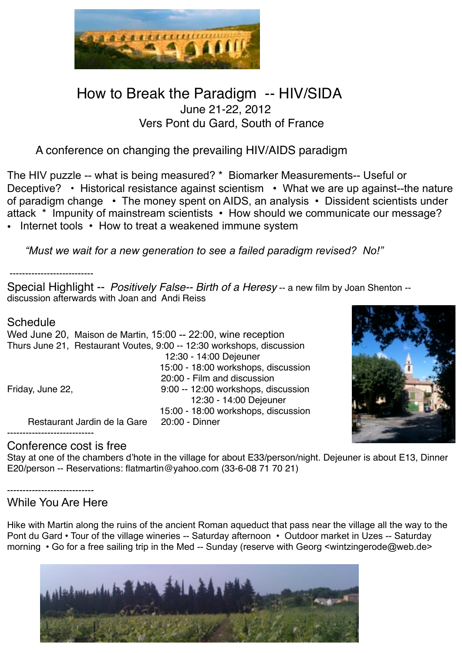

# How to Break the Paradigm -- HIV/SIDA June 21-22, 2012 Vers Pont du Gard, South of France

### A conference on changing the prevailing HIV/AIDS paradigm

The HIV puzzle -- what is being measured? \* Biomarker Measurements-- Useful or Deceptive? • Historical resistance against scientism • What we are up against--the nature of paradigm change • The money spent on AIDS, an analysis • Dissident scientists under attack \* Impunity of mainstream scientists • How should we communicate our message?

• Internet tools • How to treat a weakened immune system

 *"Must we wait for a new generation to see a failed paradigm revised? No!"*

---------------------------

Special Highlight -- *Positively False-- Birth of a Heresy* -- a new film by Joan Shenton - discussion afterwards with Joan and Andi Reiss

### Schedule

Wed June 20, Maison de Martin, 15:00 -- 22:00, wine reception Thurs June 21, Restaurant Voutes, 9:00 -- 12:30 workshops, discussion 12:30 - 14:00 Dejeuner 15:00 - 18:00 workshops, discussion 20:00 - Film and discussion Friday, June 22,  $9:00 - 12:00$  workshops, discussion 12:30 - 14:00 Dejeuner 15:00 - 18:00 workshops, discussion Restaurant Jardin de la Gare 20:00 - Dinner ----------------------------



#### Conference cost is free

Stay at one of the chambers d'hote in the village for about E33/person/night. Dejeuner is about E13, Dinner E20/person -- Reservations: flatmartin@yahoo.com (33-6-08 71 70 21)

----------------------------

### While You Are Here

Hike with Martin along the ruins of the ancient Roman aqueduct that pass near the village all the way to the Pont du Gard • Tour of the village wineries -- Saturday afternoon • Outdoor market in Uzes -- Saturday morning • Go for a free sailing trip in the Med -- Sunday (reserve with Georg <wintzingerode@web.de>